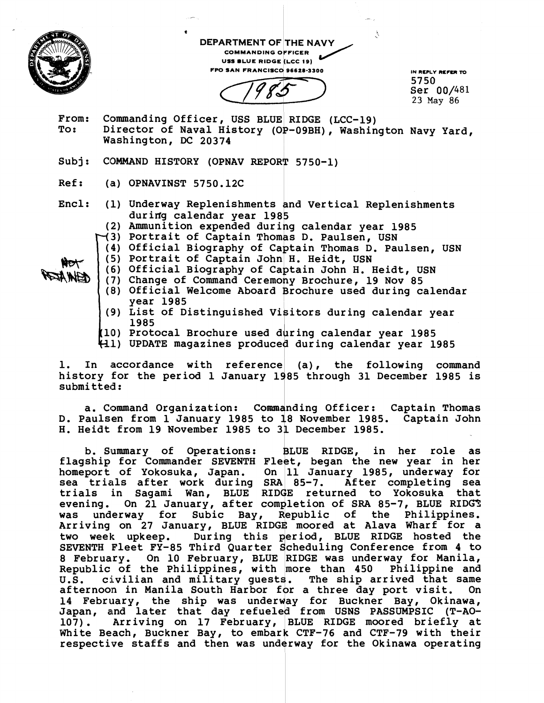

REIN ATEN

**t**<br>DEPARTMENT OF THE NAVY **COMMANDING OFFICER** USS BLUE RIDGE (LCC 19) **FPO SAN FRANCISCO 96628-3300** IN REPLY REPER TO

1985

**5750 Ser 00/481 23 May 86** 

- **From: Commanding Officer** , **USS BLUE RIDGE (LCC-19)**  Director of Naval History (OP-09BH), Washington Navy Yard, Washington, DC 20374
- Subj: COMMAND HISTORY (OPNAV REPOR<sup>†</sup> 5750-1)
- **Ref: (a) OPNAVINST 5750.12C**
- **Encl: (1) Underway Replenishments and Vertical Replenishments**  during calendar year 1985
	- (2) Ammunition expended during calendar year 1985
	- **3) Portrait of Captain Thom s D. Paulsen, USN**
	- (4) Official Biography of Captain Thomas D. Paulsen, USN
	- **(5) Portrait of Captain John H. Heidt, USN**
	- (6) Official Biography of Captain John H. Heidt, USN
	- **year 1985**  (7) Change of Command Ceremony Brochure, 19 Nov 85 (8) Official Welcome Aboard Brochure used during calendar
	- **1985 (9) List of Distinguished Visitors during calendar year**
	- **10) Protocal Brochure used dkring calendar year 1985**
	- **1) UPDATE magazines produced during calendar year 1985**

1. In accordance with reference (a), the following command history for the period 1 January 1985 through 31 December 1985 is submitted:

**a. Command Organization: colareanding Officer** : **Captain Thomas D. Paulsen from 1 January 1985 to 18 November 1985. Captain John H. Heidt from 19 November 1985 to 31 December 1985.** 

**b. Slummary of Operations: BLUE RIDGE, in her role as**  flagship for Commander SEVENTH Fleet, began the new year in her **homeport of Yokosuka, Japan. On 11 January 1985, underway for sea trials after work during SRA 85-7. After completing sea**  trials in Sagami Wan, BLUE RIDGE returned to Yokosuka that evening. On 21 January, after completion of SRA 85-7, BLUE RIDG<sup>\*</sup> **was underway for Subic Bay, epublic of the Philippines.**  Arriving on 27 January, BLUE RIDGE moored at Alava Wharf for a<br> **two week** upkeep. During this period, BLUE RIDGE hosted the<br>
SEVENTH Fleet FY-85 Third Quarter Scheduling Conference from 4 to<br>
<sup>2</sup> February, On 10 February, two week upkeep. During this period, BLUE RIDGE hosted the<br>SEVENTH Fleet FY-85 Third Quarter Scheduling Conference from 4 to **8 February. On 10 February, BLUE RIDGE was underway fox Manila, Republic of the Philippines, with more than 450 Philippine and U.S. civilian and military guests. The ship arrived that same afternooin in Manila South Harbor for a three day port visit. On 14 February, the ship was for Buckner Bay, Okinawa,**  Japan, and later that day refueled from USNS PASSUMPSIC (T-AO-107). Arriving on 17 February, BLUE RIDGE moored briefly at White Beach, Buckner Bay, to embark CTF-76 and CTF-79 with their respective staffs and then was underway for the Okinawa operating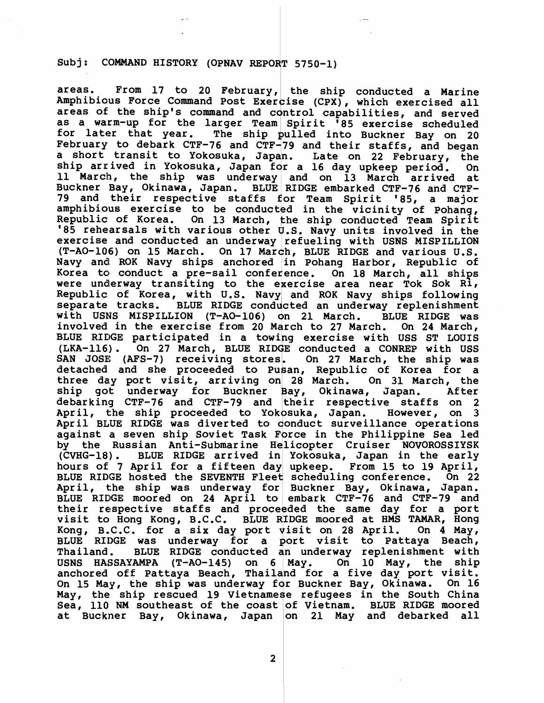areas. From 17 to 20 February, the ship conducted a Marine Amphibious Force Command Post Exercise (CPX), which exercised all areas of the ship's command and control capabilities, and served as a warm-up for the larger Team Spirit '85 exercise scheduled<br>for later that year. The ship pulled into Buckner Bay on 20 The ship pulled into Buckner Bay on 20 February to debark CTF-76 and CTF-79 and their staffs, and began<br>a short transit to Yokosuka, Japan. Late on 22 February, the ship arrived in Yokosuka, Japan for a 16 day upkeep period. On ship arrived in rokosuka, Japan for a 16 day upkeep period. On<br>11 March, the ship was underway and on 13 March arrived at Buckner Bay, Okinawa, Japan. BLUE RIDGE embarked CTF-76 and CTF-79 and their respective staffs for Team Spirit '85, a major amphibious exercise to be conducted in the vicinity of Pohang, Republic of Korea. On 13 March, the ship conducted Team Spirit Ship arrived in Yokosuka, Japan for a 16 day upkeep period. On<br>
11 March, the ship was underway and on 13 March arrived at<br>
3uckner Bay, Okinawa, Japan. BLUE RIDGE embarked CTF-76 and CTF-<br>
79 and their respective staffs f exercise and conducted an underway refueling with USNS MISPILLION (T-AO-106) on 15 March. On 17 March, BLUE RIDGE and various U.S. Navy and ROK Navy ships anchored in Pohang Harbor, Republic of Korea to conduct a pre-sail conference. On 18 March, all ships were underway transiting to the exercise area near Tok Sok Ri, Republic of Korea, with U.S. Navy and ROK Navy ships following separate tracks. BLUE RIDGE conducted an underway replenishment with USNS MISPILLION (T-AO-106) on 21 March. BLUE RIDGE was<br>involved in the exercise from 20 March to 27 March. On 24 March, BLUE RIDGE participated in a towing exercise with USS ST LOUIS (LKA-116). On 27 March, BLUE RIDGE conducted a CONREP with USS SAN JOSE: detached and she proceeded to Pusan, Republic of Korea for a three day port visit, arriving on 28 March. On 31 March, the ship got underway for Buckner Bay, Okinawa, Japan. ship got underway for Buckner Bay, Okinawa, Japan. After<br>debarking CTF-76 and CTF-79 and their respective staffs on 2 April, the ship proceeded to Yokosuka, Japan. However, on 3 April BLUE RIDGE was diverted to conduct surveillance operations against a seven ship Soviet Task Force in the Philippine Sea led by the Russian Anti-Submarine Helicopter Cruiser NOVOROSSIYSK (CVHG-18). BLUE RIDGE arrived in Yokosuka, Japan in the early hours of 7 April for a fifteen day upkeep. From 15 to 19 April, BLUE RIDGE hosted the SEVENTH Fleet scheduling conference. On 22 April, the ship was underway for Buckner Bay, Okinawa, Japan. BLUE RIDGE moored on 24 April to embark CTF-76 and CTF-79 and their respective staffs and proce ded the same day for a port visit to Hong Kong, B.C.C. BLUE RIDGE moored at HMS TAMAR, Hong Kong, B.C.C. for a six day port visit on 28 April. On 4 May, BLUE RIDGE was underway for a port visit to Pattaya Beach,<br>Thailand. BLUE RIDGE conducted an underway replenishment with Thailand. BLUE RIDGE conducted an underway replenishment with USNS HASSAYAMPA (T-AO-145) on 6 May. On 10 May, the ship USNS HASSAYAMPA (T-AO-145) on 6 May. On  $10^{-}$  May, the ship anchored off Pattaya Beach, Thailand for a five day port visit. On 15 May, the ship was underway for Buckner Bay, Okinawa. On 16 May, the ship rescued 19 Vietnamese refugees in the South China Sea, 110 NM southeast of the coast of Vietnam. BLUE RIDGE moored at Buckner Bay, Okinawa, Japan on 21 May and debarked all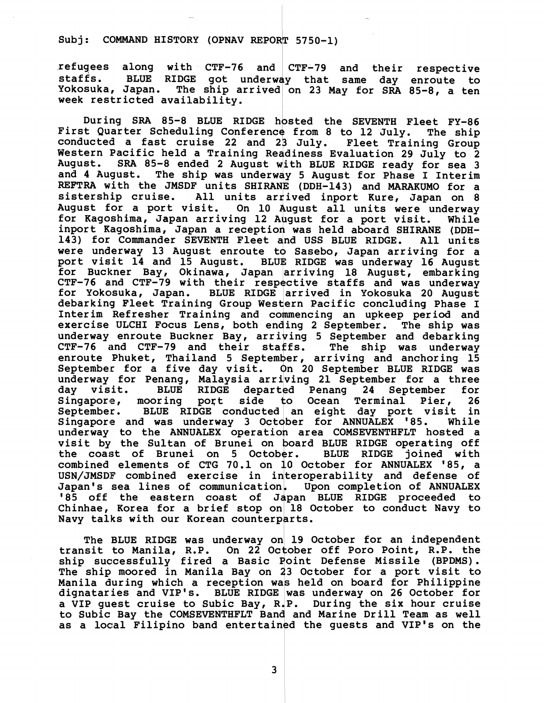**refugees along with CTF-76 and** ' **CTF-79 and their respective staffs. BLUE RIDGE got underway that same day enroute to**  The ship arrived on 23 May for SRA 85-8, a ten **week restricted availability.** 

During SRA 85-8 BLUE RIDGE hosted the SEVENTH Fleet FY-86 First Quarter Scheduling Conference from 8 to 12 July. The ship conducted a fast cruise 22 and 23 July. Fleet Training Group **Western Pacific held a Training Readiness Evaluation 29 July to 2 August. SRA 85-8 ended 2 August with BLUE RIDGE ready for sea 3**  The ship was underway 5 August for Phase I Interim REFTRA with the JMSDF units SHIRANE (DDH-143) and MARAKUMO for a sistership cruise. All units arrived inport Kure, Japan on 8 August for a port visit. On 10 August all units were underway for Kagoshima, Japan arriving 12 August for a port visit. While inport Kagoshima, Japan a reception was held aboard SHIRANE (DDH-143) for Commander SEVENTH Fleet and USS BLUE RIDGE. All units were underway 13 August enroute to Sasebo, Japan arriving for a for Kagoshima, Japan arriving 12 August for a port visit. While<br>inport Kagoshima, Japan a reception was held aboard SHIRANE (DDH-<br>143) for Commander SEVENTH Fleet and USS BLUE RIDGE. All units<br>were underway 13 August enrou **port visit 14 and 15 August. BLUE RIDGE was underway 16 August for Buckner Bay, Okinawa, Japan arriving 18 August, embarking CTF-76 and CTF-79 with their resp ctive staffs and was underway for Yokosuka, Japan. BLUE RIDGE arrived in Yokosuka 20 August**  debarking Fleet Training Group Western Pacific concluding Phase I Interim Refresher Training and commencing an upkeep period and exercise ULCHI Focus Lens, both ending 2 September. The ship was underway enroute Buckner Bay, arriving 5 September and debarking<br>CTF-76 and CTF-79 and their staffs. The ship was underway CTF-76 and CTF-79 and their staffs. enroute Phuket, Thailand 5 September, arriving and anchoring 15 day visit. BLUE RIDGE<br>Singapore, mooring port **September for a five day visit. On 20 September BLUE RIDGE was**  o Sasebo, Ja<br>
o Sasebo, Ja<br>
E RIDGE was<br>
arriving 18<br>
ective staffs<br>
arrived in<br>
tern Pacific<br>
mmencing an<br>
ding 2 Septem<br>
iving 5 Septem<br>
ffs. The<br>
ber, arriving<br>
on 20 Septem<br>
iving 21 Sept<br>
iving 21 Sept **underway for Penang, Malaysia arriving 21 September for a three BLUE RIDGE departed Penang 24 September for**  exercise ULCHI Focus Lens, both ending 2 September. The ship was<br>
underway enroute Buckner Bay, arriving 5 September and debarking<br>
CTF-76 and CTF-79 and their staffs. The ship was underway<br>
enroute Phuket, Thailand 5 Sept **September. BLUE RIDGE conducted an eight day port visit in**  Singapore and was underway 3 October for ANNUALEX '85. underway to the ANNUALEX operation area COMSEVENTHFLT hosted a **visit by the Sultan of Brunei on board BLUE RIDGE operating off**  the coast of Brunei on 5 October. **combined elements of CTG 70.1 on 10 October for ANNUALEX '85, a**  USN/JMSDF combined exercise in interoperability and defense of Japan's sea lines of communication. Upon completion of ANNUALEX '85 off the eastern coast of Japan BLUE RIDGE proceeded to **Chinhae, Korea for a Navy talks with our** 

**The BLUE RIDGE was underway on 19 October for an independent transit to Manila, R.P. On 22 October off Poro Point, R.P. the ship successfully fired a Basic Point Defense Missile (BPDMS). The ship moored in Manila Bay on 23 October for a port visit to Manila during which a reception was held on board for Philippine dignataries and VIP's. BLUE RIDGE was underway on 26 October for a VIP guest cruise to Subic Bay, R P. During the six hour cruise**  to Subic Bay the COMSEVENTHFLT Band and Marine Drill Team as well **as a local Filipino band entertained the guests and VIP's on the**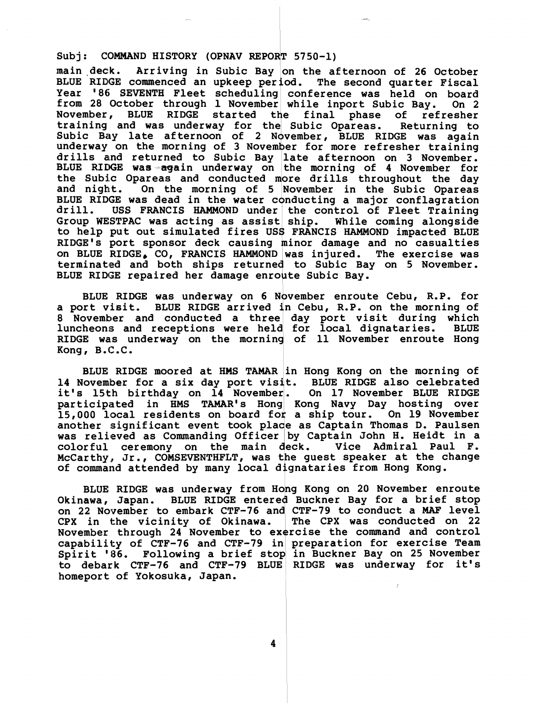main deck. Arriving in Subic Bay on the afternoon of 26 October BLUE RIDGE commenced an upkeep period. The second quarter Fiscal **Year '86 SEVENTH Fleet scheduling conference was held on board from 28 October through 1 November while inport Subic Bay. On 2 November, BLUE RIDGE started final phase of refresher training and was underway for Subic Opareas. Returning to**  Subic Bay late afternoon of 2 November, BLUE RIDGE was again **underway on the morning of 3 November for more refresher training drills a~nd returned to Subic Bay late afternoon on 3 November.**  BLUE RIDGE was again underway on the morning of 4 November for the Subic Opareas and conducted more drills throughout the day and night. On the morning of 5 November in the Subic Opareas BLUE RIDGE was dead in the water conducting a major conflagration **drill. USS FRANCIS HAMMOND under the control of Fleet Training**  Group WESTPAC was acting as assist ship. While coming alongside<br>to help put out simulated fires USS FRANCIS HAMMOND impacted BLUE **RIDGE'S port sponsor deck causing minor damage and no casualties on BLUE RIDGE, CO, FRANCIS HAMMOND was injured. The exercise was**  terminated and both ships returned to Subic Bay on 5 November. BLUE RIDGE repaired her damage enroute Subic Bay.

BLUE RIDGE was underway on 6 November enroute Cebu, R.P. for a port visit. BLUE RIDGE arrived in Cebu, R.P. on the morning of BLUE RIDGE was underway on 6 November enroute Cebu, R.P. for<br>
a port visit. BLUE RIDGE arrived in Cebu, R.P. on the morning of<br>
8 November and conducted a three day port visit during which<br>
luncheons and receptions were he RIDGE was underway on the morning of 11 November enroute Hong **Kong, B.C.C.** 

**BLUE RIDGE moored at HMS TAMAR in Hong Kong on the morning of 14 November for a six day port visit. BLUE RIDGE also celebrated**  it's 15th birthday on 14 November. On 17 November BLUE RIDGE participated in HMS TAMAR's Hong Kong Navy Day hosting over **15,000 llocal residents a ship tour. On 19 November another significant event took place as Captain Thomas D. Paulsen**  was relieved as Commanding Officer by Captain John H. Heidt in a colorful ceremony on the main deck. Vice Admiral Paul F. McCarthy, Jr., COMSEVENTHFLT, was the guest speaker at the change of command attended by many local **colorful ceremony on the main deck. Vice Admiral Paul F.**  McCarthy, Jr., COMSEVENTHFLT, was the guest speaker at the change of command attended by many local dignataries from Hong Kong.

BLUE RIDGE was underway from Hong Kong on 20 November enroute **Okinawa, Japan.** BLUE RIDGE entered Buckner Bay for a brief stop **on 22 November to embark CTF-76 and CTF-79 to conduct a MAF level**  CPX in the vicinity of Okinawa. November through 24 November to exercise the command and control **capability of CTF-76 and CTF-79 in preparation for exercise Team**  Spirit '86. Following a brief stop in Buckner Bay on 25 November **to debark CTF-76 and CTF-79 BLUE RIDGE was underway for it's homeport of Yokosuka, Japan.** 

4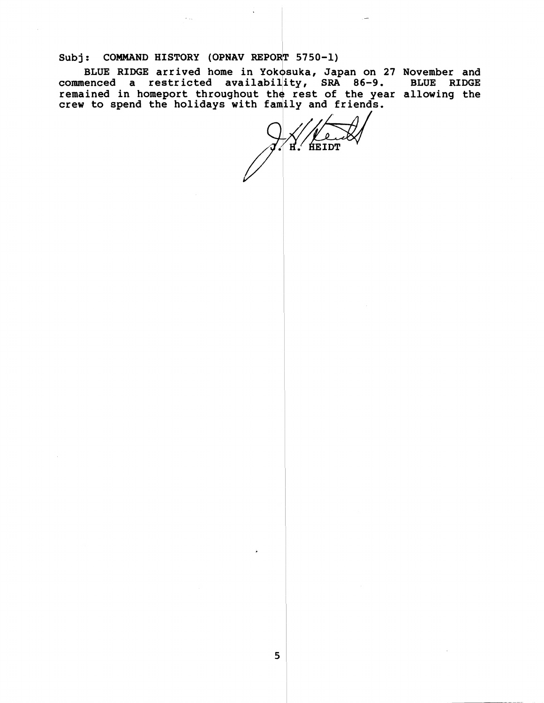BLUE RIDGE arrived home in Yokosuka, Japan on 27 November and **command HISTORY (OPNAV REPORT 5750-1)**<br>BLUE RIDGE arrived home in Yokosuka, Japan on 27 November and<br>commenced a restricted availability, SRA 86-9. BLUE RIDGE<br>remained in homeport throughout the rest of the year allowing remained in homeport throughout the rest of the year allowing the **crew to spend the holidays with family and friends.** 

**HEIDT** н.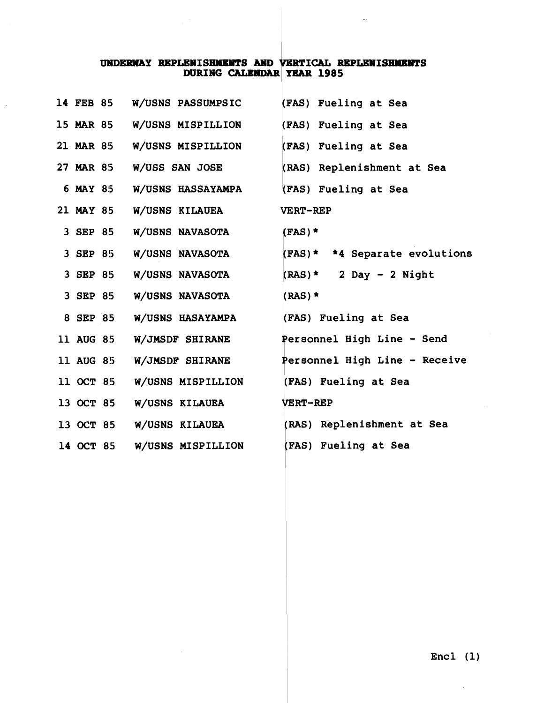# UNDERWAY REPLENISHMENTS AND VERTICAL REPLENISHMENTS<br>DURING CALENDAR YEAR 1985

 $\bar{z}$ 

 $\bar{\mathcal{A}}$ 

 $\overline{a}$ 

| 14 FEB 85        | <b>W/USNS PASSUMPSIC</b>    | (FAS) Fueling at Sea          |
|------------------|-----------------------------|-------------------------------|
|                  | 15 MAR 85 W/USNS MISPILLION | (FAS) Fueling at Sea          |
| 21 MAR 85        | W/USNS MISPILLION           | (FAS) Fueling at Sea          |
| 27 MAR 85        | W/USS SAN JOSE              | (RAS) Replenishment at Sea    |
| 6 MAY 85         | <b>W/USNS HASSAYAMPA</b>    | (FAS) Fueling at Sea          |
| 21 MAY 85        | <b>W/USNS KILAUEA</b>       | <b>VERT-REP</b>               |
| 3 SEP 85         | W/USNS NAVASOTA             | $(FAS)$ *                     |
| 3 SEP 85         | <b>W/USNS NAVASOTA</b>      | (FAS)* *4 Separate evolutions |
| 3 SEP 85         | W/USNS NAVASOTA             | $(RAS)^*$ 2 Day - 2 Night     |
| 3 SEP 85         | W/USNS NAVASOTA             | $(RAS)$ *                     |
| 8 SEP 85         | <b>W/USNS HASAYAMPA</b>     | (FAS) Fueling at Sea          |
| <b>11 AUG 85</b> | <b>W/JMSDF SHIRANE</b>      | Personnel High Line - Send    |
| 11 AUG 85        | W/JMSDF SHIRANE             | Personnel High Line - Receive |
| 11 OCT 85        | W/USNS MISPILLION           | (FAS) Fueling at Sea          |
| 13 OCT 85        | W/USNS KILAUEA              | <b>VERT-REP</b>               |
| 13 OCT 85        | W/USNS KILAUEA              | (RAS) Replenishment at Sea    |
| 14 OCT 85        | W/USNS MISPILLION           | (FAS) Fueling at Sea          |
|                  |                             |                               |

 $\sim$